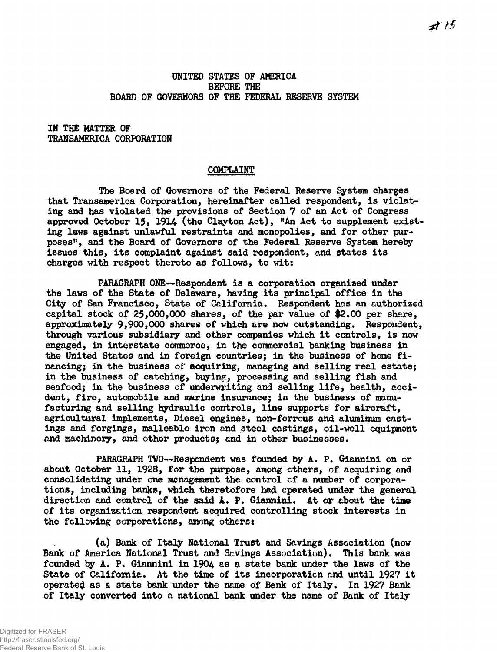## UNITED STATES OF AMERICA BEFORE THE BOARD OF GOVERNORS OF THE FEDERAL RESERVE SYSTEM

IN THE MATTER OF TRANSAMERICA CORPORATION

## COMPLAINT

The Board of Governors of the Federal Reserve System charges that Transamerica Corporation, hereinafter called respondent, is violating and has violated the provisions of Section 7 of an Act of Congress approved October 15, 1914 (the Clayton Act), "An Act to supplement existing laws against unlawful restraints and monopolies, and for other purposes", and the Board of Governors of the Federal Reserve System hereby issues this, its complaint against said respondent, and states its charges with respect thereto as follows, to wit:

PARAGRAPH ONE—Respondent is a corporation organized under the laws of the State of Delaware, having its principal office in the City of San Francisco, State of California. Respondent has an authorized capital stock of 25,000,000 shares, of the par value of #2.00 per share, approximately 9,900,000 shares of which are now outstanding. Respondent, through various subsidiary and other companies which it controls, is now engaged, in interstate commerce, in the commercial banking business in the United States and in foreign countries; in the business of home financing; in the business of acquiring, managing and selling real estate; in the business of catching, buying, processing and selling fish and seafood; in the business of underwriting and selling life, health, accident, fire, automobile and marine insurance; in the business of manufacturing and selling hydraulic controls, line supports for aircraft, agricultural implements, Diesel engines, non-ferrous and aluminum castings and forgings, malleable iron and steel castings, oil-well equipment and machinery, and other products; and in other businesses.

PARAGRAPH TWO—Respondent was founded by A. P. Giannini on or about October 11, 1928, for the purpose, among ethers, of acquiring and consolidating under one management the control cf a number of corporations, including banks, which theretofore had operated under the general direction and control of the said A. P. Giannini. At or about the time of its organization, respondent acquired controlling stock interests in the following corporations, among others:

(a) Bank of Italy National Trust and Savings Association (now Bank of America National Trust and Savings Association). This bank was founded by A. P. Giannini in 1904 as a state bank under the laws of the State of California. At the time of its incorporation and until 1927 it operated as a state bank under the name of Bank of Italy. In 1927 Bank of Italy converted into a national bank under the name of Bank of Italy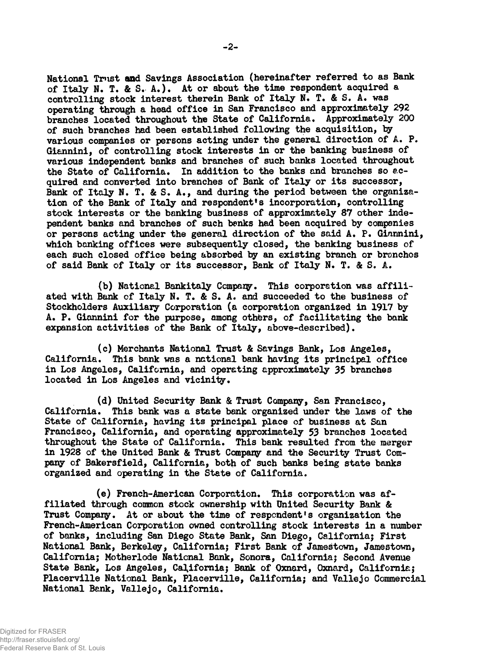National Trust and Savings Association (hereinafter referred to as Bank of Italy N. T. & S. A.). At or about the time respondent acquired a controlling stock interest therein Bank of Italy N. T. & S. A. was operating through a head office in San Francisco and approximately 292 branches located throughout the State of California. Approximately 200 of such branches had been established following the acquisition, by various companies or persons acting under the general direction of A. P. Giannini, of controlling stock interests in or the banking business of various independent banks and branches of such banks located throughout the State of California. In addition to the banks and branches so acquired and converted into branches of Bank of Italy or its successor, Bank of Italy N. T. & S. A., and during the period between the organization of the Bank of Italy and respondent's incorporation, controlling stock interests or the banking business of approximately 87 other independent banks and branches of such banks had been acquired by companies or persons acting under the general direction of the said A. P. Giannini, which banking offices were subsequently closed, the banking business of each such closed office being absorbed by an existing branch or bronchos of said Bank of Italy or its successor, Bank of Italy N. T. & S. A.

(b) National Bankitaly Company • This corporation was affiliated with Bank of Italy N. T. & S. A. and succeeded to the business of Stockholders Auxiliary Corporation (a corporation organized in 1917 by A. P. Giannini for the purpose, among others, of facilitating the bank expansion activities of the Bank of Italy, above-described).

(c) Merchants National Trust & Savings Bank, Los Angeles, California. This bank was a national bank having its principal office in Los Angeles, California, and operating approximately 35 branches located in Los Angeles and vicinity.

(d) United Security Bank & Trust Company, San Francisco, California. This bank was a state bank organized under the laws of the State of California, having its principal place of business at San Francisco, California, and operating approximately 53 branches located throughout the State of California. This bank resulted from the merger in 1928 of the United Bank & Trust Company and the Security Trust Company of Bakersfield, California, both of such banks being state banks organized and operating in the State of California.

(e) French-American Corporation. This corporation was affiliated through common stock ownership with United Security Bank & Trust Company. At or about the time of respondent's organization the French-American Corporation owned controlling stock interests in a number of banks, including San Diego State Bank, San Diego, California; First National Bank, Berkeley, California; First Bank of Jamestown, Jamestown, California; Motherlode National Bank, Sonora, California; Second Avenue State Bank, Los Angeles, California; Bank of Oxnard, Oxnard, California; Placerville National Bank, Placerville, California; and Vallejo Commercial National Bank, Vallejo, California.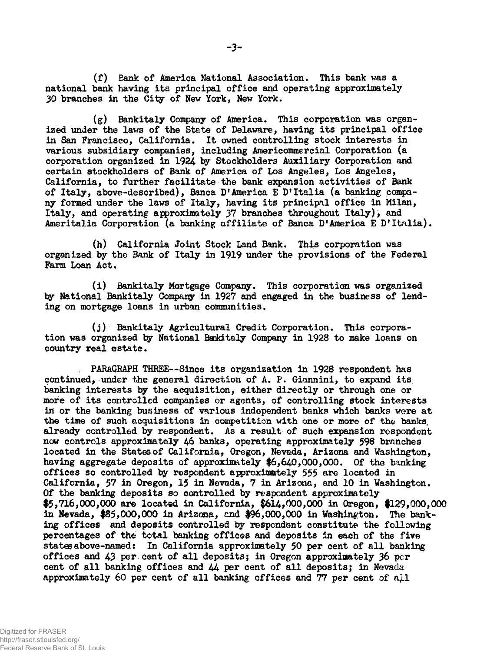(f) Bank of America National Association. This bank was a national bank having its principal office and operating approximately 30 branches in the City of New York, New York.

(g) Bankitaly Company of America. This corporation was organized under the laws of the State of Delaware, having its principal office in San Francisco, California. It owned controlling stock interests in various subsidiary companies, including Americommercial Corporation (a corporation organized in 1924 by Stockholders Auxiliary Corporation and certain stockholders of Bank of America of Los Angeles, Los Angeles, California, to further facilitate the bank expansion activities of Bank of Italy, above-described), Banca D'America E D'Italia (a banking company formed under the laws of Italy, having its principal office in Milan, Italy, and operating approximately 37 branches throughout Italy), and Ameritalia Corporation (a banking affiliate of Banca D'America E D'Italia).

(h) California Joint Stock Land Bank. This corporation was organized by the Bank of Italy in 1919 under the provisions of the Federal Farm Loan Act.

(i) Bankitaly Mortgage Company. This corporation was organized by National Bankitaly Company in 1927 and engaged in the business of lending on mortgage loans in urban communities.

(j) Bankitaly Agricultural Credit Corporation. This corporation was organized by National Bankitaly Company in 1928 to make loans on country real estate.

. PARAGRAPH THREE—Since its organization in 1928 respondent has continued, under the general direction of A. P. Giannini, to expand its banking interests by the acquisition, either directly or through one or more of its controlled companies or agents, of controlling stock interests in or the banking business of various independent banks which banks were at the time of such acquisitions in competition with one or more of the banks, already controlled by respondent. As a result of such expansion respondent now controls approximately 46 banks, operating approximately 598 branches located in the Statesof California, Oregon, Nevada, Arizona and Washington, having aggregate deposits of approximately \$6,640,000,000. Of the banking offices so controlled by respondent approximately 555 are located in California, 57 in Oregon, 15 in Nevada, 7 in Arizona, and 10 in Washington. Of the banking deposits so controlled by respondent approximately  $$5,716,000,000$  are located in California,  $$614,000,000$  in Oregon, \$129,000,000 in Nevada, #85,000,000 in Arizona, end #96,000,000 in Washington. The banking offices and deposits controlled by respondent constitute the following percentages of the total banking offices and deposits in each of the five states above-named: In California approximately 50 per cent of all banking offices and 43 per. cent of all deposits; in Oregon approximately 36 per cent of all banking offices and 44 per cent of all deposits; in Nevada approximately 60 per cent of all banking offices and 77 per cent of all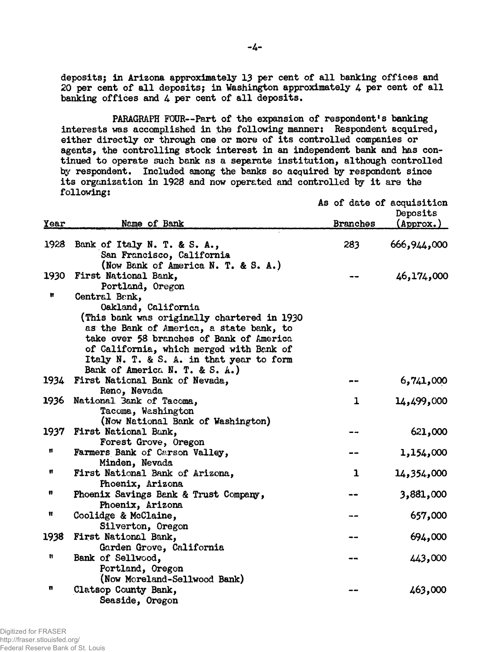depositsj in Arizona approximately 13 per cent of all banking offices and 20 per cent of all deposits; in Washington approximately 4 per cent of all banking offices and  $4$  per cent of all deposits.

PARAGRAPH FOUR—Part of the expansion of respondent's banking interests was accomplished in the following manner: Respondent acquired, either directly or through one or more of its controlled companies or agents, the controlling stock interest in an independent bank and has continued to operate such bank as a separate institution, although controlled by respondent. Included among the banks so acquired by respondent since its organization in 1928 and now operated and controlled by it are the following: As of date of acquisition

| Year | Name of Bank                                                                    | As or date or acquisition<br><b>Branches</b> | Deposits<br>$(\text{Approx.})$ |
|------|---------------------------------------------------------------------------------|----------------------------------------------|--------------------------------|
|      |                                                                                 |                                              |                                |
| 1928 | Bank of Italy N. T. & S. A.,<br>San Francisco, California                       | 283                                          | 666,944,000                    |
| 1930 | (Now Bank of America N. T. & S. A.)<br>First National Bank,<br>Portland, Oregon |                                              | 46,174,000                     |
| n    | Central Benk,                                                                   |                                              |                                |
|      | Oakland, California                                                             |                                              |                                |
|      | (This bank was originally chartered in 1930)                                    |                                              |                                |
|      | as the Bank of America, a state bank, to                                        |                                              |                                |
|      | take over 58 branches of Bank of America                                        |                                              |                                |
|      | of California, which merged with Bank of                                        |                                              |                                |
|      | Italy N. T. & S. A. in that year to form                                        |                                              |                                |
|      | Bank of America N. T. & S. A.)                                                  |                                              |                                |
| 1934 | First National Bank of Nevada,                                                  |                                              | 6,741,000                      |
|      | Reno, Nevada                                                                    | $\mathbf{1}$                                 |                                |
| 1936 | National Bank of Tacoma,<br>Tacoma, Washington                                  |                                              | 14,499,000                     |
|      | (Now National Bank of Washington)                                               |                                              |                                |
| 1937 | First National Bank,                                                            |                                              | 621,000                        |
|      | Forest Grove, Oregon                                                            |                                              |                                |
| Ħ    | Farmers Bank of Carson Valley,                                                  |                                              | 1,154,000                      |
|      | Minden, Nevada                                                                  |                                              |                                |
| Ħ    | First National Bank of Arizona,                                                 | $\mathbf{1}$                                 | 14,354,000                     |
|      | Phoenix, Arizona                                                                |                                              |                                |
| n    | Phoenix Savings Bank & Trust Company,                                           |                                              | 3,881,000                      |
|      | Phoenix, Arizona                                                                |                                              |                                |
| Ħ    | Coolidge & McClaine,                                                            |                                              | 657,000                        |
|      | Silverton, Oregon                                                               |                                              |                                |
| 1938 | First National Bank,                                                            |                                              | 694,000                        |
|      | Garden Grove, California                                                        |                                              |                                |
| n    | Bank of Sellwood,                                                               |                                              | 443,000                        |
|      | Portland, Oregon                                                                |                                              |                                |
|      | (Now Moreland-Sellwood Bank)                                                    |                                              |                                |
| n    | Clatsop County Bank,<br>Seaside, Oregon                                         |                                              | 463,000                        |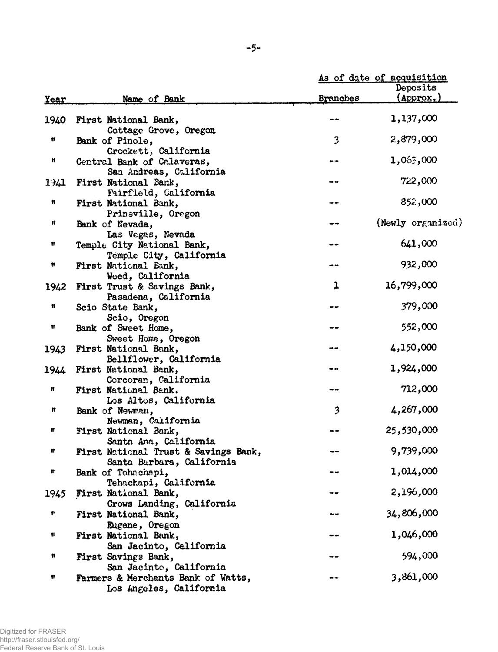|       |                                                                   | As of date of acquisition |                   |
|-------|-------------------------------------------------------------------|---------------------------|-------------------|
|       |                                                                   |                           | Deposits          |
| Year  | Name of Bank                                                      | <b>Branches</b>           | (Approx.)         |
|       |                                                                   |                           |                   |
| 1940  | First National Bank,                                              |                           | 1,137,000         |
|       | Cottage Grove, Oregon                                             |                           |                   |
| n     | Bank of Pinole,                                                   | 3                         | 2,879,000         |
| Ħ     | Crockett, California                                              |                           | 1,063,000         |
|       | Central Bank of Calaveras,                                        | $\bullet$                 |                   |
| 1.341 | San Andreas, California<br>First National Bank,                   |                           | 722,000           |
|       | Fairfield, Galifornia                                             |                           |                   |
| Ħ     | First National Bank,                                              |                           | 852,000           |
|       | Prineville, Oregon                                                |                           |                   |
| Ħ     | Bank of Nevada,                                                   |                           | (Newly organized) |
|       | Las Vegas, Nevada                                                 |                           |                   |
| Ħ     | Temple City National Bank,                                        |                           | 641,000           |
|       | Temple City, California                                           |                           |                   |
| Ħ     | First National Bank,                                              |                           | 932,000           |
|       | Weed, California                                                  |                           |                   |
| 1942  | First Trust & Savings Bank,                                       | 1                         | 16,799,000        |
|       | Pasadena, California                                              |                           |                   |
| Ħ     | Scio State Bank,                                                  |                           | 379,000           |
| Ħ     | Scio, Oregon                                                      |                           | 552,000           |
|       | Bank of Sweet Home,                                               |                           |                   |
| 1943  | Sweet Home, Oregon<br>First National Bank,                        |                           | 4,150,000         |
|       | Bellflower, California                                            |                           |                   |
| 1944  | First National Bank,                                              |                           | 1,924,000         |
|       | Corcoran, California                                              |                           |                   |
| Ħ     | First National Bank.                                              |                           | 712,000           |
|       | Los Altos, California                                             |                           |                   |
| n     | Bank of Newman,                                                   | 3                         | 4,267,000         |
|       | Newman, California                                                |                           |                   |
| Ħ     | First National Bank,                                              |                           | 25,530,000        |
|       | Santa Ana, California                                             |                           |                   |
| Ħ     | First National Trust & Savings Bank,<br>Santa Barbara, California |                           | 9,739,000         |
| Ħ     | Bank of Tehachapi,                                                |                           | 1,014,000         |
|       | Tehachapi, California                                             |                           |                   |
| 1945  | First National Bank,                                              |                           | 2,196,000         |
|       | Crows Landing, California                                         |                           |                   |
| r     | First National Bank,                                              | --                        | 34,806,000        |
|       | Eugene, Oregon                                                    |                           |                   |
| Ħ     | First National Bank,                                              |                           | 1,046,000         |
|       | San Jacinto, California                                           |                           |                   |
| Ħ     | First Savings Bank,                                               |                           | 594,000           |
|       | San Jacinto, California                                           |                           |                   |
| Ħ     | Farmers & Merchants Bank of Watts,                                |                           | 3,861,000         |
|       | Los Angeles, California                                           |                           |                   |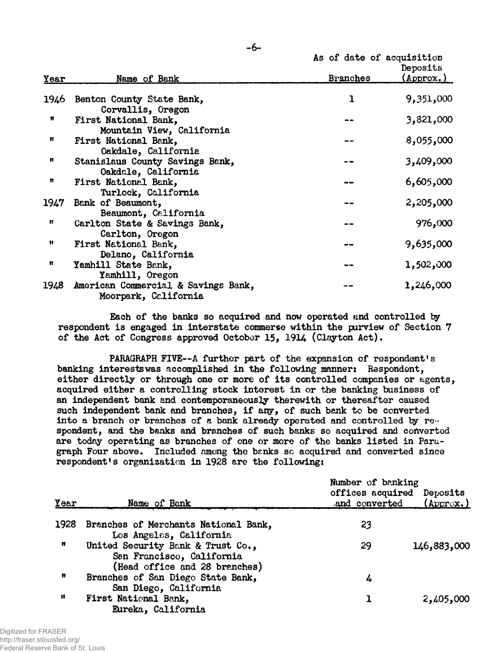|             |                                                             | As of date of acquisition | Deposits  |
|-------------|-------------------------------------------------------------|---------------------------|-----------|
| <b>Year</b> | Name of Bank                                                | <b>Branches</b>           | (Approx.) |
|             | 1946 Benton County State Bank,<br>Corvallis, Oregon         | ı                         | 9,351,000 |
| n           | First National Bank,<br>Mountain View, California           |                           | 3,821,000 |
| Ħ           | First National Bank,<br>Oakdale, California                 |                           | 8,055,000 |
| Ħ           | Stanislaus County Savings Bank,<br>Oakdale, California      |                           | 3,409,000 |
| n           | First National Bank,<br>Turlock, California                 |                           | 6,605,000 |
| 1947        | Bank of Beaumont,<br>Beaumont, California                   |                           | 2,205,000 |
| n           | Carlton State & Savings Bank,<br>Carlton, Oregon            |                           | 976,000   |
| n           | First National Bank,<br>Delano, California                  |                           | 9,635,000 |
| Ĥ           | Yamhill State Bank,<br>Yamhill, Oregon                      |                           | 1,502,000 |
| 1948.       | American Commercial & Savings Bank,<br>Moorpark, California |                           | 1,246,000 |

Each of the banks so acquired and now operated and controlled by respondent is engaged in interstate commerse within the purview of Section 7 of the Act of Congress approved October 15, 1914 (Clayton Act).

PARAGRAPH FIVE--A further part of the expansion of respondent's banking interests was accomplished in the following manner: Respondent, either directly or through one or more of its controlled companies or agents, acquired either a controlling stock interest in or the banking business of an independent bank and contemporaneously therewith or thereafter caused such independent bank and branches, if any, of such bank to be converted into a branch or branches of a bank already operated and controlled by respondent, and the banks and branches of such banks so acquired and converted are today operating as branches of one or more of the banks listed in Paragraph Four above. Included among the banks so acquired and converted since respondent's organization in 1928 are the following:

| Year | Name of Bank                                                                                    | Number of banking<br>offices acquired<br>and converted | Deposits<br>$(\text{Approx.})$ |
|------|-------------------------------------------------------------------------------------------------|--------------------------------------------------------|--------------------------------|
| 1928 | Branches of Merchants National Bank,                                                            | 23                                                     |                                |
|      | Los Angeles, California                                                                         |                                                        |                                |
| n    | United Security Bank & Trust Co.,<br>San Francisco, California<br>(Head office and 28 branches) | 29                                                     | 146,883,000                    |
| Ħ    | Branches of San Diego State Bank,<br>San Diego, California                                      | 4                                                      |                                |
| Ħ    | First National Bank,<br>Eureka, California                                                      |                                                        | 2,405,000                      |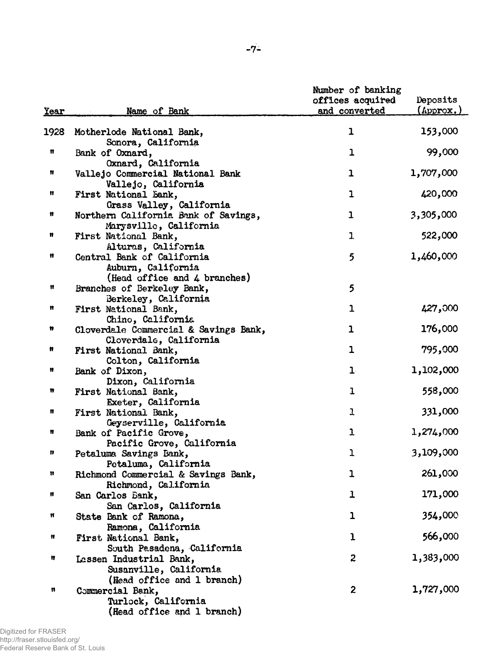| <u>Year</u> | Name of Bank                                               | Number of banking<br>offices acquired<br>and converted | Deposits<br>$(\text{Approx.})$ |
|-------------|------------------------------------------------------------|--------------------------------------------------------|--------------------------------|
|             |                                                            |                                                        |                                |
| 1928        | Motherlode National Bank,                                  | 1                                                      | 153,000                        |
| n           | Sonora, California<br>Bank of Oxnard,                      | $\mathbf 1$                                            | 99,000                         |
|             | Oxnard, California                                         |                                                        |                                |
| Ħ           | Vallejo Commercial National Bank                           | $\mathbf 1$                                            | 1,707,000                      |
|             | Vallejo, California                                        |                                                        |                                |
| Ħ           | First National Sank,                                       | $\mathbf 1$                                            | 420,000                        |
|             | Grass Valley, California                                   |                                                        |                                |
| 11          | Northern California Bank of Savings,                       | $\mathbf{1}$                                           | 3,305,000                      |
|             | Marysville, California                                     |                                                        |                                |
| Ħ           | First National Bank,                                       | $\mathbf{1}$                                           | 522,000                        |
| Ħ           | Alturas, California                                        |                                                        |                                |
|             | Central Bank of California                                 | 5                                                      | 1,460,000                      |
|             | Auburn, California                                         |                                                        |                                |
| Ħ           | (Head office and 4 branches)<br>Branches of Berkeley Bank, | 5                                                      |                                |
|             | Berkeley, California                                       |                                                        |                                |
| Ħ           | First National Bank,                                       | $\mathbf{1}$                                           | 427,000                        |
|             | Chino, California                                          |                                                        |                                |
| n           | Cloverdale Commercial & Savings Bank,                      | $\mathbf 1$                                            | 176,000                        |
|             | Cloverdale, California                                     |                                                        |                                |
| n           | First National Bank,                                       | $\mathbf{1}$                                           | 795,000                        |
|             | Colton, California                                         |                                                        |                                |
| Ħ           | Bank of Dixon,                                             | $\mathbf{1}$                                           | 1,102,000                      |
|             | Dixon, California                                          |                                                        |                                |
| n           | First National Bank,                                       | 1                                                      | 558,000                        |
|             | Exeter, California                                         |                                                        |                                |
| Ħ           | First National Bank,                                       | 1                                                      | 331,000                        |
|             | Geyserville, California                                    |                                                        |                                |
| n           | Bank of Pacific Grove,                                     | ı                                                      | 1,274,000                      |
|             | Pacific Grove, California                                  |                                                        |                                |
| n           | Petaluma Savings Bank,                                     | ı                                                      | 3,109,000                      |
|             | Petaluma, California                                       |                                                        | 261,000                        |
| n           | Richmond Commercial & Savings Bank,                        | $\mathbf 1$                                            |                                |
| Ħ           | Richmond, California                                       | $\mathbf{1}$                                           | 171,000                        |
|             | San Carlos Bank,                                           |                                                        |                                |
| Ħ           | San Carlos, California                                     | $\mathbf 1$                                            | 354,000                        |
|             | State Bank of Ramona,<br>Ramona, California                |                                                        |                                |
| Ħ           | First National Bank,                                       | $\mathbf{I}$                                           | 566,000                        |
|             | South Pasadena, California                                 |                                                        |                                |
| Ħ           | Lassen Industrial Bank,                                    | $\boldsymbol{z}$                                       | 1,383,000                      |
|             | Susanville, California                                     |                                                        |                                |
|             | (Head office and 1 branch)                                 |                                                        |                                |
| n           | Commercial Bank,                                           | $\overline{c}$                                         | 1,727,000                      |
|             | Turlock, California                                        |                                                        |                                |
|             | (Head office and 1 branch)                                 |                                                        |                                |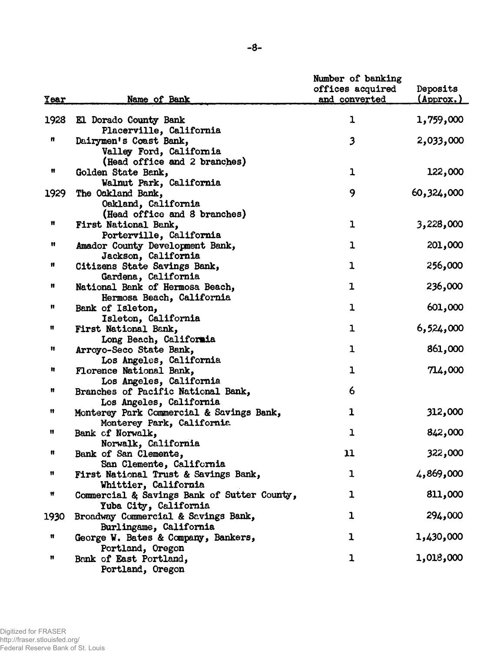|             | -8-                                                                                                       |                                                        |                                |
|-------------|-----------------------------------------------------------------------------------------------------------|--------------------------------------------------------|--------------------------------|
| <u>Year</u> | Name of Bank                                                                                              | Number of banking<br>offices acquired<br>and converted | Deposits<br>$(\text{Approx.})$ |
| 1928        | El Dorado County Bank                                                                                     | 1                                                      | 1,759,000                      |
| n           | Placerville, California<br>Dairymen's Coast Bank,<br>Valley Ford, California                              | $\overline{\mathbf{3}}$                                | 2,033,000                      |
| Ħ           | (Head office and 2 branches)<br>Golden State Bank,<br>Walnut Park, California                             | $\mathbf{1}$                                           | 122,000                        |
| 1929        | The Oakland Bank,<br>Oakland, California<br>(Head office and 8 branches)                                  | 9                                                      | 60,324,000                     |
| Ħ           | First National Bank,<br>Porterville, California                                                           | $\mathbf{1}$                                           | 3,228,000                      |
| Ħ           | Amador County Development Bank,<br>Jackson, California                                                    | $\mathbf{1}$                                           | 201,000                        |
| Ħ           | Citizens State Savings Bank,<br>Gardena, California                                                       | $\mathbf{1}$                                           | 256,000                        |
| Ħ           | National Bank of Hermosa Beach,<br>Hermosa Beach, California                                              | 1                                                      | 236,000                        |
| Ħ           | Bank of Isleton,<br>Isleton, California                                                                   | $\mathbf{1}$                                           | 601,000                        |
| Ħ           | First National Bank,<br>Long Beach, California                                                            | $\mathbf 1$                                            | 6,524,000                      |
| Ħ           | Arroyo-Seco State Bank,<br>Los Angeles, California                                                        | $\mathbf 1$                                            | 861,000                        |
| n<br>Ħ      | Florence National Bank,<br>Los Angeles, California                                                        | $\mathbf{1}$<br>6                                      | 714,000                        |
| Ħ           | Branches of Pacific National Bank,<br>Los Angeles, California<br>Monterey Park Commercial & Savings Bank, | $\mathbf{1}$                                           | 312,000                        |
|             | Monterey Park, California<br>Bank of Norwalk,                                                             | ı                                                      | 842,000                        |
| Ħ           | Norwalk, California<br>Bank of San Clemente,                                                              | 11                                                     | 322,000                        |
| Ħ           | San Clemente, California<br>First National Trust & Savings Bank,                                          | 1                                                      | 4,869,000                      |
| Ħ           | Whittier, California<br>Commercial & Savings Bank of Sutter County,                                       | $\mathbf{1}$                                           | 811,000                        |
| 1930        | Yuba City, California<br>Broadway Commercial & Savings Bank,                                              | $\mathbf{1}$                                           | 294,000                        |
| Ħ           | Burlingame, California<br>George W. Bates & Company, Bankers,<br>Portland, Oregon                         | 1                                                      | 1,430,000                      |
| Ħ           | Bank of East Portland,<br>Portland, Oregon                                                                | $\mathbf{1}$                                           | 1,018,000                      |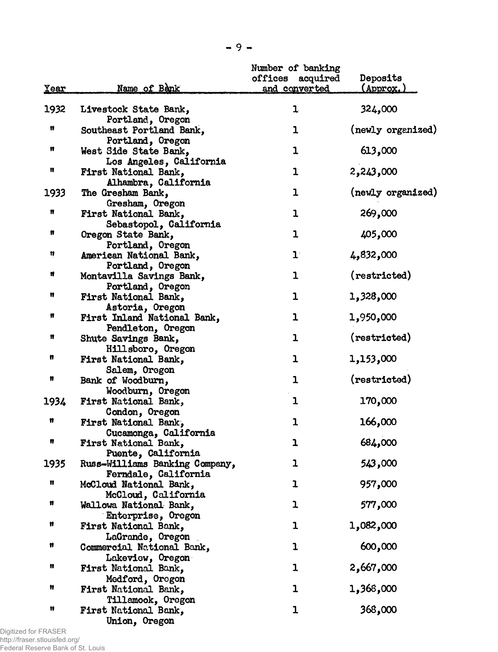| <u>Year</u> | Name of Bank                                         | Number of banking<br>offices<br>acquired<br>and converted | Deposits<br>(Approx.) |
|-------------|------------------------------------------------------|-----------------------------------------------------------|-----------------------|
|             |                                                      |                                                           |                       |
| 1932        | Livestock State Bank,<br>Portland, Oregon            | 1                                                         | 324,000               |
| n           | Southeast Portland Bank,                             | 1                                                         | (newly organized)     |
| n           | Portland, Oregon<br>West Side State Bank,            | 1                                                         | 613,000               |
| n           | Los Angeles, California<br>First National Bank,      | $\mathbf{1}$                                              | 2,243,000             |
| 1933        | Alhambra, California<br>The Gresham Bank,            | $\mathbf{1}$                                              | (newly organized)     |
| Ħ           | Gresham, Oregon<br>First National Bank,              | $\mathbf{1}$                                              | 269,000               |
| n           | Sebastopol, California<br>Oregon State Bank,         | $\mathbf{1}$                                              | 405,000               |
| Ħ           | Portland, Oregon<br>American National Bank,          | $\mathbf{1}$                                              | 4,832,000             |
| Ħ           | Portland, Oregon<br>Montavilla Savings Bank,         | 1                                                         | (restricted)          |
| Ħ           | Portland, Oregon<br>First National Bank,             | 1                                                         | 1,328,000             |
| n           | Astoria, Oregon<br>First Inland National Bank,       | 1                                                         | 1,950,000             |
| n           | Pendleton, Oregon<br>Shute Savings Bank,             | 1                                                         | (restricted)          |
| Ħ           | Hillsboro, Oregon<br>First National Bank,            | 1                                                         | 1,153,000             |
| n           | Salem, Oregon<br>Bank of Woodburn,                   | $\mathbf{1}$                                              | (restricted)          |
| 1934        | Woodburn, Oregon<br>First National Bank,             | $\mathbf{1}$                                              | 170,000               |
| n           | Condon, Oregon<br>First National Bank,               | $\mathbf{1}$                                              | 166,000               |
| n           | Cucamonga, California<br>First National Bank,        | ı                                                         | 684,000               |
| 1935        | Puente, California<br>Russ-Williams Banking Company, | 1                                                         | 543,000               |
| n           | Ferndale, California<br>McCloud National Bank,       | ı                                                         | 957,000               |
| Ħ           | McCloud, California<br>Wallowa National Bank,        | 1                                                         | 577,000               |
| Ħ           | Enterprise, Oregon<br>First National Bank,           | 1                                                         | 1,082,000             |
| Ħ           | LaGrande, Oregon<br>Commercial National Bank,        | ı                                                         | 600,000               |
| n           | Lakeview, Oregon<br>First National Bank,             | 1                                                         | 2,667,000             |
| Ħ           | Medford, Orogon<br>First National Bank,              | 1                                                         | 1,368,000             |
| Ħ           | Tillamook, Oregon<br>First National Bank,            | 1                                                         | 368,000               |
|             | Union, Oregon                                        |                                                           |                       |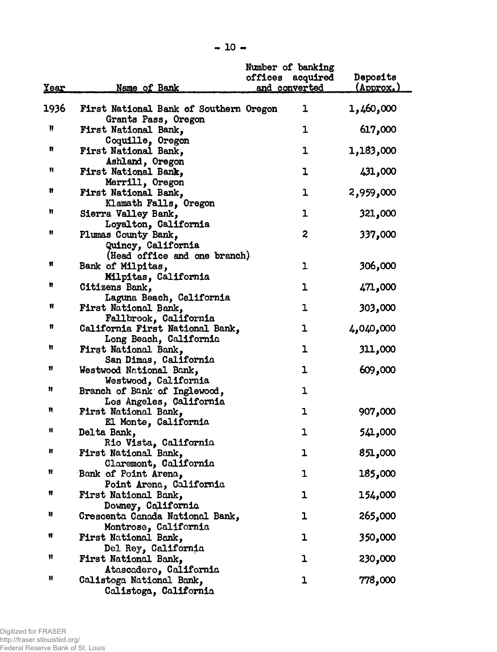|      |                                        | Number of banking       |                             |
|------|----------------------------------------|-------------------------|-----------------------------|
|      |                                        | offices acquired        | <b>Deposits</b>             |
| Year | Name of Bank                           | and converted           | $(\text{Approx}_{\bullet})$ |
|      |                                        |                         |                             |
| 1936 | First National Bank of Southern Oregon | ı                       | 1,460,000                   |
|      | Grants Pass, Oregon                    |                         |                             |
| Ħ    | First National Bank,                   | 1                       | 617,000                     |
|      | Coquille, Oregon                       |                         |                             |
| n    | First National Bank,                   | 1                       | 1,183,000                   |
|      | Ashland, Oregon                        |                         |                             |
| n    | First National Bank,                   | 1                       |                             |
|      |                                        |                         | 431,000                     |
| n    | Merrill, Oregon                        | $\mathbf 1$             |                             |
|      | First National Bank,                   |                         | 2,959,000                   |
| n    | Klamath Falls, Oregon                  |                         |                             |
|      | Sierra Valley Bank,                    | $\mathbf{1}$            | 321,000                     |
|      | Loyalton, California                   |                         |                             |
| Ħ    | Plumas County Bank,                    | $\overline{\mathbf{c}}$ | 337,000                     |
|      | Quincy, California                     |                         |                             |
|      | (Head office and one branch)           |                         |                             |
| Ħ    | Bank of Milpitas,                      | 1                       | 306,000                     |
|      | Milpitas, California                   |                         |                             |
| n    | Citizens Bank,                         | 1                       | 471,000                     |
|      | Laguna Beach, California               |                         |                             |
| Ħ    | First National Bank,                   | 1                       | 303,000                     |
|      | Fallbrook, California                  |                         |                             |
| n    | California First National Bank,        | 1                       | 4,040,000                   |
|      | Long Beach, California                 |                         |                             |
| n    | First National Bank,                   | ı                       | 311,000                     |
|      | San Dimas, California                  |                         |                             |
| 11   | Westwood National Bank,                | 1                       | 609,000                     |
|      | Westwood, California                   |                         |                             |
| n    | Branch of Bank of Inglewood,           | 1                       |                             |
|      |                                        |                         |                             |
| n    | Los Angeles, California                |                         |                             |
|      | First National Bank,                   | 1                       | 907,000                     |
| n    | El Monte, California                   |                         |                             |
|      | Delta Bank,                            | 1                       | 541,000                     |
|      | Rio Vista, California                  |                         |                             |
|      | First National Bank,                   | ı                       | 851,000                     |
|      | Claremont, California                  |                         |                             |
| n    | Bank of Point Arena,                   | ı                       | 185,000                     |
|      | Point Arena, California                |                         |                             |
| Ħ    | First National Bank,                   | ı                       | 154,000                     |
|      | Downey, California                     |                         |                             |
| u    | Crescenta Canada National Bank,        | ı                       | 265,000                     |
|      | Montrose, California                   |                         |                             |
| Ħ    | First National Bank,                   | ı                       | 350,000                     |
|      | Del Rey, California                    |                         |                             |
| 11   | First National Bank,                   | 1                       | 230,000                     |
|      | Atascadero, California                 |                         |                             |
| n    | Calistoga National Bank,               | 1                       | 778,000                     |
|      |                                        |                         |                             |
|      | Calistoga, California                  |                         |                             |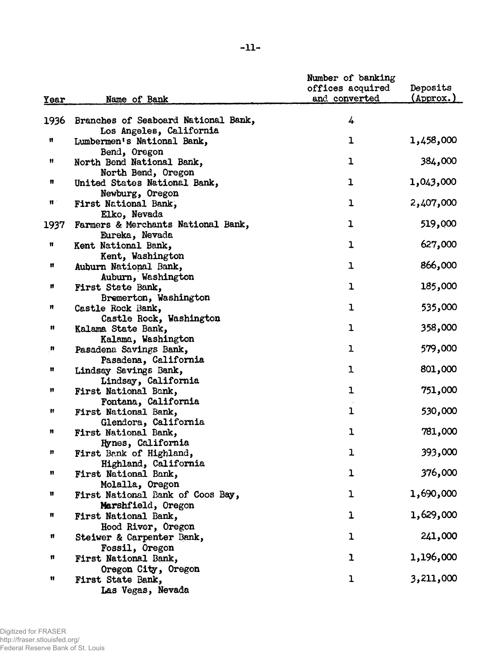|                 |                                     | Number of banking |           |
|-----------------|-------------------------------------|-------------------|-----------|
|                 |                                     | offices acquired  | Deposits  |
| Year            | Name of Bank                        | and converted     | (Approx.) |
| 1936            | Branches of Seaboard National Bank, | 4                 |           |
|                 | Los Angeles, California             |                   |           |
| Ħ               | Lumbermen's National Bank,          | 1                 | 1,458,000 |
|                 | Bend, Oregon                        |                   |           |
| Ħ               | North Bend National Bank,           | $\mathbf{1}$      | 384,000   |
|                 | North Bend, Oregon                  |                   |           |
| Ħ               | United States National Bank,        | ı                 | 1,043,000 |
|                 | Newburg, Oregon                     |                   |           |
| $\mathfrak n$ : | First National Bank,                | $\mathbf{1}$      | 2,407,000 |
|                 | Elko, Nevada                        |                   |           |
| 1937            | Farmers & Merchants National Bank,  | ı                 | 519,000   |
|                 | Eureka, Nevada                      |                   |           |
| Ħ               | Kent National Bank,                 | $\mathbf{1}$      | 627,000   |
|                 | Kent, Washington                    |                   |           |
| n               | Auburn National Bank,               | $\mathbf{1}$      | 866,000   |
|                 | Auburn, Washington                  |                   |           |
| n               | First State Bank,                   | $\mathbf 1$       | 185,000   |
|                 | Bremerton, Washington               |                   |           |
| n               | Castle Rock Bank,                   | $\mathbf{1}$      | 535,000   |
|                 | Castle Rock, Washington             |                   |           |
| n               | Kalama State Bank,                  | $\mathbf{1}$      | 358,000   |
|                 | Kalama, Washington                  |                   |           |
| n               | Pasadena Savings Bank,              | $\mathbf{I}$      | 579,000   |
|                 | Pasadena, California                |                   |           |
| Ħ               | Lindsay Savings Bank,               | $\mathbf 1$       | 801,000   |
|                 | Lindsay, California                 |                   |           |
| 11              | First National Bank,                | $\mathbf{1}$      | 751,000   |
|                 | Fontana, California                 |                   |           |
| Ħ               | First National Bank,                | $\mathbf{1}$      | 530,000   |
|                 | Glendora, California                |                   |           |
| n               | First National Bank,                | $\mathbf{I}$      | 781,000   |
|                 | Hynes, California                   |                   |           |
| n               | First Bank of Highland,             | ı                 | 393,000   |
|                 | Highland, California                |                   |           |
| n               | First National Bank,                | $\mathbf{1}$      | 376,000   |
|                 | Molalla, Oregon                     |                   |           |
| Ħ               | First National Bank of Coos Bay,    | $\mathbf{1}$      | 1,690,000 |
|                 | Marshfield, Oregon                  |                   |           |
| Ħ               | First National Bank,                | $\mathbf{1}$      | 1,629,000 |
|                 | Hood River, Oregon                  |                   |           |
| n               | Steiwer & Carpenter Bank,           | ı                 | 241,000   |
|                 | Fossil, Oregon                      |                   |           |
| Ħ               | First National Bank,                | $\mathbf{I}$      | 1,196,000 |
|                 | Oregon City, Oregon                 |                   |           |
| Ħ               | First State Bank,                   | $\mathbf{1}$      | 3,211,000 |
|                 | Las Vegas, Nevada                   |                   |           |
|                 |                                     |                   |           |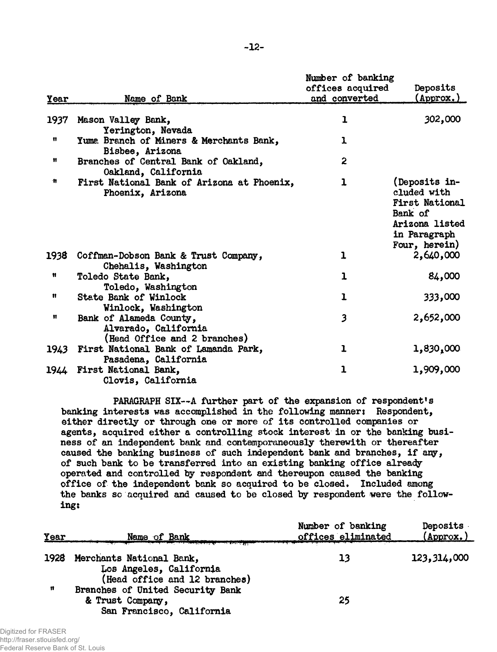| Year         | Name of Bank                                                                    | Number of banking<br>offices acquired<br>and converted | Deposits<br>(Approx.)                                                                                               |
|--------------|---------------------------------------------------------------------------------|--------------------------------------------------------|---------------------------------------------------------------------------------------------------------------------|
|              |                                                                                 |                                                        |                                                                                                                     |
| 1937         | Mason Valley Bank,                                                              | ı                                                      | 302,000                                                                                                             |
|              | Yerington, Nevada                                                               |                                                        |                                                                                                                     |
| Ħ            | Yuma Branch of Miners & Merchants Bank,                                         | 1                                                      |                                                                                                                     |
|              | Bisbee, Arizona                                                                 |                                                        |                                                                                                                     |
| n            | Branches of Central Bank of Oakland,<br>Oakland, California                     | $\mathbf{2}$                                           |                                                                                                                     |
| n            | First National Bank of Arizona at Phoenix,<br>Phoenix, Arizona                  | $\mathbf{1}$                                           | (Deposits in-<br>cluded with<br><b>First National</b><br>Bank of<br>Arizona listed<br>in Paragraph<br>Four, herein) |
| 1938         | Coffman-Dobson Bank & Trust Company,<br>Chehalis, Washington                    | ı                                                      | 2,640,000                                                                                                           |
| n            | Toledo State Bank,                                                              | $\mathbf 1$                                            | 84,000                                                                                                              |
|              | Toledo, Washington                                                              |                                                        |                                                                                                                     |
| Ħ            | <b>State Bank of Winlock</b>                                                    | $\mathbf{I}$                                           | 333,000                                                                                                             |
|              | Winlock, Washington                                                             |                                                        |                                                                                                                     |
| $\mathbf{u}$ | Bank of Alameda County,<br>Alvarado, California<br>(Head Office and 2 branches) | 3                                                      | 2,652,000                                                                                                           |
|              | 1943 First National Bank of Lamanda Park,<br>Pasadena, California               | ı                                                      | 1,830,000                                                                                                           |
| 1944         | First National Bank,<br>Clovis, California                                      | 1                                                      | 1,909,000                                                                                                           |

PARAGRAPH SIX--A further part of the expansion of respondent's banking interests was accomplished in the following manner: Respondent, either directly or through one or more of its controlled companies or agents, acquired either a controlling stock interest in or the banking business of an independent bank and contemporaneously therewith or thereafter caused the banking business of such independent bank and branches, if any, of such bank to be transferred into an existing banking office already operated and controlled by respondent and thereupon caused the banking office of the independent bank so acquired to be closed. Included among the banks so acquired and caused to be closed by respondent were the following:

| Year | Name of Bank                                                      | Number of banking<br>offices eliminated | Deposits<br>$(\text{Approx.})$ |
|------|-------------------------------------------------------------------|-----------------------------------------|--------------------------------|
| 1928 | Merchants National Bank,                                          | 13                                      | 123,314,000                    |
|      | Los Angeles, California                                           |                                         |                                |
| n    | (Head office and 12 branches)<br>Branches of United Security Bank |                                         |                                |
|      | & Trust Company,                                                  | 25                                      |                                |
|      | San Francisco, California                                         |                                         |                                |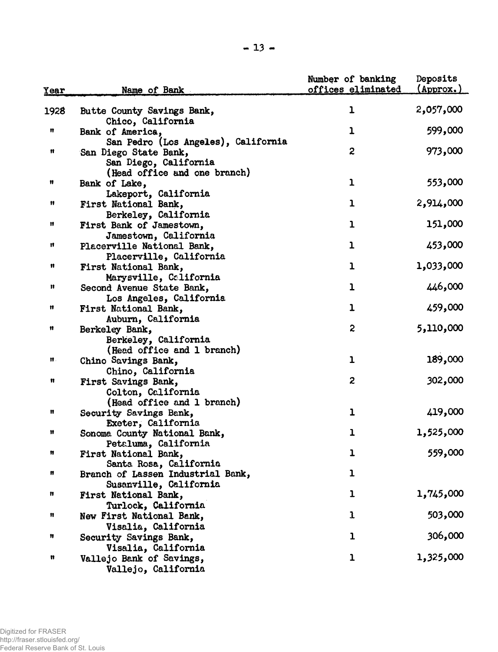| Year   | Name of Bank                                                                          | Number of banking<br>offices eliminated | Deposits<br>$(\text{Approx.})$ |
|--------|---------------------------------------------------------------------------------------|-----------------------------------------|--------------------------------|
| 1928   | Butte County Savings Bank,                                                            | ı                                       | 2,057,000                      |
| Ħ      | Chico, California<br>Bank of America,                                                 | ı                                       | 599,000                        |
| Ħ      | San Pedro (Los Angeles), California<br>San Diego State Bank,<br>San Diego, California | 2                                       | 973,000                        |
| n      | (Head office and one branch)<br>Bank of Lake,                                         | $\mathbf{1}$                            | 553,000                        |
| Ħ      | Lakeport, California<br>First National Bank,<br>Berkeley, California                  | $\mathbf{I}$                            | 2,914,000                      |
| Ħ      | First Bank of Jamestown,<br>Jamestown, California                                     | ı                                       | 151,000                        |
| n      | Placerville National Bank,<br>Placerville, California                                 | $\mathbf{1}$                            | 453,000                        |
| Ħ      | First National Bank,<br>Marysville, California                                        | $\mathbf{1}$                            | 1,033,000                      |
| Ħ      | Second Avenue State Bank,<br>Los Angeles, California                                  | ı                                       | 446,000                        |
| n      | First National Bank,<br>Auburn, California                                            | ı                                       | 459,000                        |
| Ħ      | Berkeley Bank,<br>Berkeley, California                                                | $\overline{c}$                          | 5,110,000                      |
| Ħ.     | (Head office and 1 branch)<br>Chino Savings Bank,<br>Chino, California                | ı                                       | 189,000                        |
| Ħ      | First Savings Bank,<br>Colton, California                                             | $\mathbf{z}$                            | 302,000                        |
| Ħ      | (Head office and 1 branch)<br>Security Savings Bank,<br>Exeter, California            | ı                                       | 419,000                        |
| Ħ      | Sonoma County National Bank,<br>Petaluma, California                                  | ı                                       | 1,525,000                      |
| n      | First National Bank,<br>Santa Rosa, California                                        | $\mathbf{I}$                            | 559,000                        |
| n      | Branch of Lassen Industrial Bank,<br>Susanville, California                           | ı                                       |                                |
| n      | First National Bank,<br>Turlock, California                                           | ı                                       | 1,745,000                      |
| Ħ      | New First National Bank,<br>Visalia, California                                       | $\mathbf{I}$                            | 503,000                        |
| n<br>Ħ | Security Savings Bank,<br>Visalia, California<br>Vallejo Bank of Savings,             | ı<br>ı                                  | 306,000<br>1,325,000           |
|        | Vallejo, California                                                                   |                                         |                                |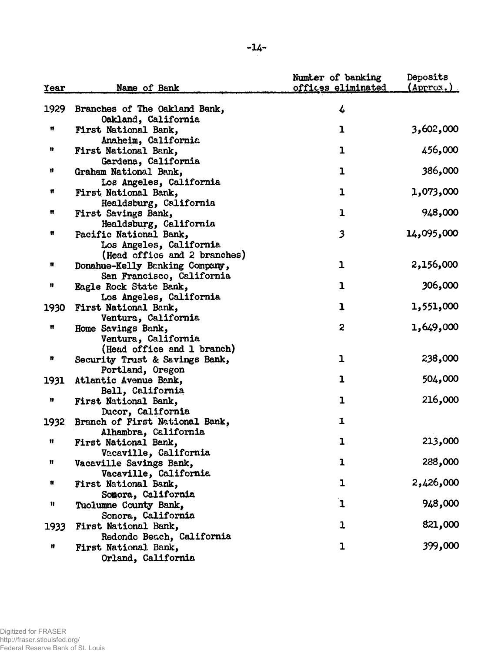| <u>Year</u> | Name of Bank                                                                                | Number of banking<br>offices eliminated | Deposits<br>$(\text{Approx.})$ |
|-------------|---------------------------------------------------------------------------------------------|-----------------------------------------|--------------------------------|
| 1929        | Branches of The Oakland Bank,<br>Oakland, California                                        | 4                                       |                                |
| Ħ           | First National Bank,                                                                        | $\mathbf{1}$                            | 3,602,000                      |
| Ħ           | Anaheim, California<br>First National Bank,                                                 | $\mathbf{1}$                            | 456,000                        |
| Ħ           | Gardena, California<br>Graham National Bank,                                                | $\mathbf{1}$                            | 386,000                        |
| n           | Los Angeles, California<br>First National Bank,                                             | $\mathbf{1}$                            | 1,073,000                      |
| Ħ           | Healdsburg, California<br>First Savings Bank,                                               | $\mathbf{1}$                            | 948,000                        |
| n           | Healdsburg, California<br>Pacific National Bank,<br>Los Angeles, California                 | $\overline{\mathbf{3}}$                 | 14,095,000                     |
| Ħ           | (Head office and 2 branches)<br>Donahue-Kelly Banking Company,<br>San Francisco, California | $\mathbf{I}$                            | 2,156,000                      |
| Ħ           | Eagle Rock State Bank,                                                                      | $\mathbf 1$                             | 306,000                        |
| 1930        | Los Angeles, California<br>First National Bank,                                             | 1                                       | 1,551,000                      |
| Ħ           | Ventura, California<br>Home Savings Bank,<br>Ventura, California                            | $\boldsymbol{z}$                        | 1,649,000                      |
| n           | (Head office and 1 branch)<br>Security Trust & Savings Bank,                                | ı                                       | 238,000                        |
| 1931        | Portland, Oregon<br>Atlantic Avenue Bank,                                                   | $\mathbf{1}$                            | 504,000                        |
| Ħ           | Bell, California<br>First National Bank,                                                    | $\mathbf 1$                             | 216,000                        |
| 1932        | Ducor, California<br>Branch of First National Bank,                                         | ı                                       |                                |
| Ħ           | Alhambra, California<br>First National Bank,                                                | 1                                       | 213,000                        |
| Ħ           | Vacaville, California<br>Vacaville Savings Bank,                                            | $\mathbf{1}$                            | 288,000                        |
| Ħ           | Vacaville, California<br><b>First National Bank,</b>                                        | 1                                       | 2,426,000                      |
| Ħ           | Sonora, California<br>Tuolumne County Bank,                                                 | $\mathbf{1}$                            | 948,000                        |
| 1933        | Sonora, California<br>First National Bank,                                                  | $\mathbf 1$                             | 821,000                        |
| Ħ           | Redondo Beach, California<br>First National Bank,<br>Orland, California                     | ı                                       | 399,000                        |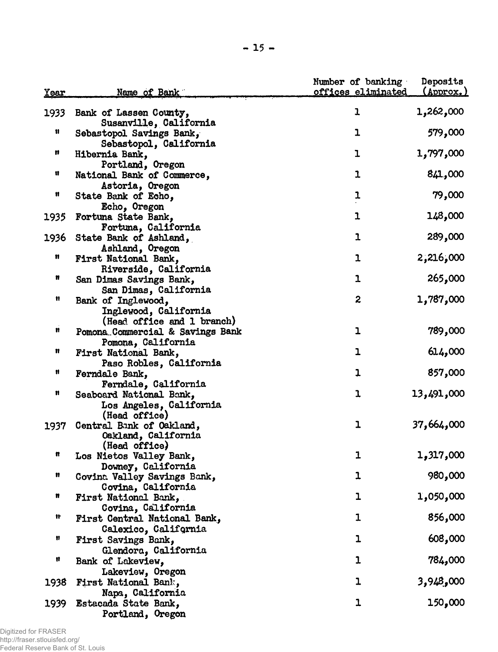| <u>Year</u> | <u>Name of Bank</u>                                                       | Number of banking<br>offices eliminated | Deposits<br>(Approx.) |
|-------------|---------------------------------------------------------------------------|-----------------------------------------|-----------------------|
| 1933        | Bank of Lassen County,<br>Susanville, California                          | ı                                       | 1,262,000             |
| Ħ           | Sebastopol Savings Bank,<br>Sebastopol, California                        | ı                                       | 579,000               |
| n           | Hibernia Bank,<br>Portland, Oregon                                        | ı                                       | 1,797,000             |
| u           | National Bank of Commerce,<br>Astoria, Oregon                             | 1                                       | 841,000               |
| n           | State Bank of Echo,<br>Echo, Oregon                                       | ı                                       | 79,000                |
| 1935        | Fortuna State Bank,<br>Fortuna, California                                | 1                                       | 148,000               |
| 1936        | State Bank of Ashland,<br>Ashland, Oregon                                 | 1                                       | 289,000               |
| n           | First National Bank,<br>Riverside, California                             | $\mathbf{1}$                            | 2,216,000             |
| n           | San Dimas Savings Bank,<br>San Dimas, California                          | $\mathbf{1}$                            | 265,000               |
| H           | Bank of Inglewood,<br>Inglewood, California<br>(Head office and 1 branch) | 2                                       | 1,787,000             |
| n           | Pomona Commercial & Savings Bank<br>Pomona, California                    | $\mathbf{1}$                            | 789,000               |
| n           | First National Bank,<br>Paso Robles, California                           | ı                                       | 614,000               |
| Ħ           | Ferndale Bank,<br>Ferndale, California                                    | $\mathbf{1}$                            | 857,000               |
| n           | Seaboard National Bank,<br>Los Angeles, California<br>(Head office)       | ı                                       | 13,491,000            |
| 1937        | Central Bank of Oakland,<br>Oakland, California<br>(Head office)          | $\mathbf{1}$                            | 37,664,000            |
| n           | Los Nietos Valley Bank,<br>Downey, California                             | 1                                       | 1,317,000             |
| n           | Covina Valley Savings Bank,<br>Covina, California                         | 1                                       | 980,000               |
| n           | First National Bank,<br>Covina, California                                | $\mathbf{1}$                            | 1,050,000             |
| It          | First Central National Bank,<br>Calexico, California                      | 1                                       | 856,000               |
| n           | First Savings Bank,<br>Glendora, California                               | $\mathbf{1}$                            | 608,000               |
| n           | Bank of Lakeview,<br>Lakeview, Oregon                                     | 1                                       | 784,000               |
| 1938        | First National Bank,<br>Napa, California                                  | $\mathbf{1}$                            | 3,948,000             |
| 1939        | Estacada State Bank,<br>Portland, Oregon                                  | $\mathbf{1}$                            | 150,000               |

Digitized for FRASER http://fraser.stlouisfed.org/ Federal Reserve Bank of St. Louis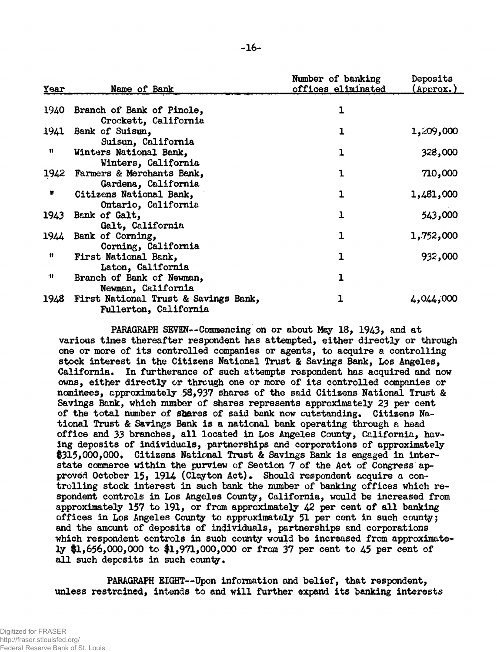| Year | Name of Bank                                                              | Number of banking<br>offices eliminated | Deposits<br>(Approx.) |
|------|---------------------------------------------------------------------------|-----------------------------------------|-----------------------|
|      | 1940 Branch of Bank of Pinole,<br>Crockett, California                    | ı                                       |                       |
|      | 1941 Bank of Suisun,<br>Suisun, California                                | 1                                       | 1,209,000             |
| Ħ    | Winters National Bank,<br>Winters, California                             | ı                                       | 328,000               |
|      | 1942 Farmers & Merchants Bank,<br>Gardena, California                     | ı                                       | 710,000               |
| Ħ    | Citizens National Bank,<br>Ontario, California                            | ı                                       | 1,481,000             |
| 1943 | Bank of Galt,<br>Galt, California                                         | ı                                       | 543,000               |
|      | 1944 Bank of Corning,<br>Corning, California                              | ı                                       | 1,752,000             |
| n    | First National Bank,<br>Laton, California                                 | ı                                       | 932,000               |
| Ħ    | Branch of Bank of Newman,<br>Newman, California                           | ı                                       |                       |
|      | 1948 First National Trust & Savings Bank,<br><b>Fullerton, California</b> |                                         | 4,044,000             |

PARAGRAPH SEVEN—Commencing on or about May 18, 1943, and at various times thereafter respondent has attempted, either directly or through one or more of its controlled companies or agents, to acquire a controlling stock interest in the Citizens National Trust & Savings Bank, Los Angeles, California. In furtherance of such attempts respondent has acquired and now owns, either directly or through one or more of its controlled companies or nominees, approximately 58,937 shares of the said Citizens National Trust & Savings Bank, which number of shares represents approximately 23 per cent of the total number of shares of said bank now outstanding. Citizens National Trust & Savings Bank is a national bank operating through a head office and 33 branches, all located in Los Angeles County, California, having deposits of individuals, partnerships and corporations of approximately \$315,000,000. Citizens National Trust & Savings Bank is engaged in interstate commerce within the purview of Section 7 of the Act of Congress approved October 15, 1914 (Clayton Act)• Should respondent acquire a controlling stock interest in such bank the number of banking offices which respondent controls in Los Angeles County, California, would be increased from approximately 157 to 191, or from approximately 42 per cent of all banking offices in Los Angeles County to approximately 51 per cent in such county j and the amount of deposits of individuals, partnerships and corporations which respondent controls in such county would be increased from approximately \$1,656,000,000 to #1,971,000,000 or from 37 per cent to 45 per cent of all such deposits in such county.

PARAGRAPH EIGHT—Upon information and belief, that respondent, unless restrained, intends to and will further expand its banking interests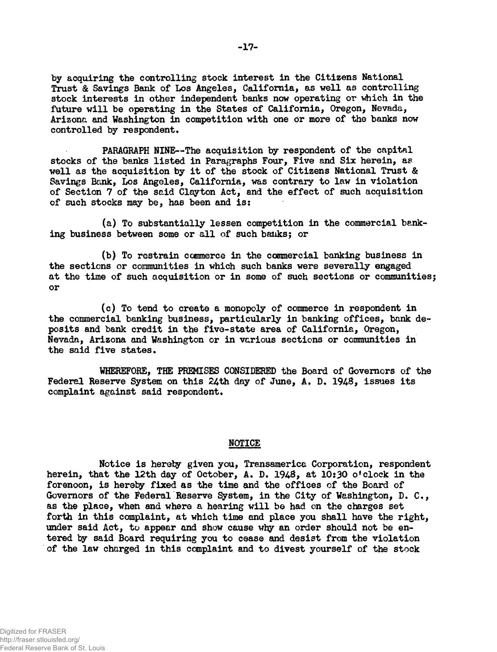by acquiring the controlling stock interest in the Citizens National Trust & Savings Bank of Los Angeles, California, as well as controlling stock interests in other independent banks now operating or which in the future will be operating in the States of California, Oregon, Nevada, Arizona and Washington in competition with one or more of the banks now controlled by respondent.

PARAGRAPH NINE—The acquisition by respondent of the capital stocks of the banks listed in Paragraphs Four, Five and Six herein, as well as the acquisition by it of the stock of Citizens National Trust & Savings Bank, Los Angeles, California, was contrary to law in violation of Section 7 of the said Clayton Act, and the effect of such acquisition of such stocks may be, has been and is:

(a) To substantially lessen competition in the commercial banking business between some or all of such banks; or

(b) To restrain commerce in the commercial banking business in the sections or communities in which such banks were severally engaged at the time of such acquisition or in some of such sections or communitiesj or

(c) To tend to create a monopoly of commerce in respondent in the commercial banking business, particularly in banking offices, bank deposits and bank credit in the five-state area of California, Oregon, Nevada, Arizona and Washington or in various sections or communities in the said five states.

WHEREFORE, THE PREMISES CONSIDERED the Board of Governors of the Federal Reserve System on this 24th day of June, A, D. 1948, issues its complaint against said respondent.

## NOTICE

Notice is hereby given you, Transamerica Corporation, respondent herein, that the 12th day of October, A. D. 1948, at 10:30 o'clock in the forenoon, is hereby fixed as the time and the offices of the Board of Governors of the Federal Reserve System, in the City of Washington, D. C., as the place, when and where a hearing will be had on the charges set forth in this complaint, at which time and place you shall have the right, under said Act, to appear and show cause why an order should not be entered by said Board requiring you to cease and desist from the violation of the law charged in this complaint and to divest yourself of the stock